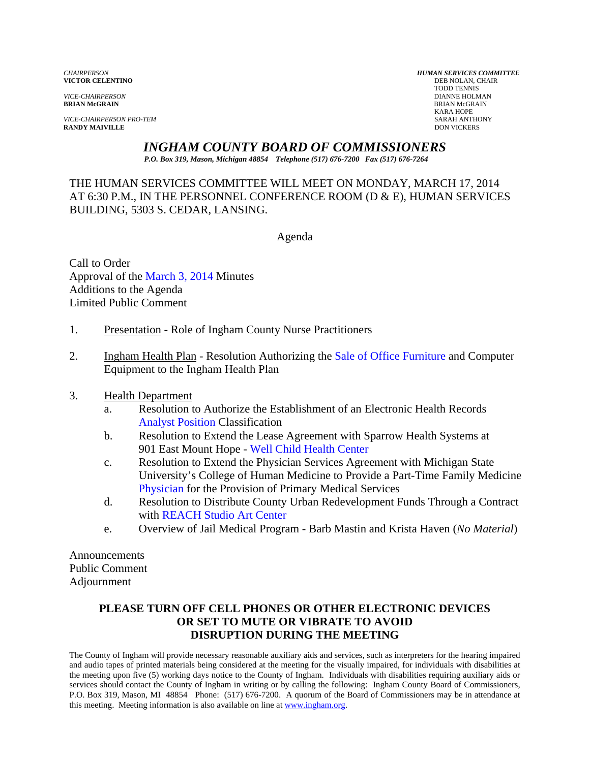**VICTOR CELENTINO** 

*VICE-CHAIRPERSON PRO-TEM* SARAH ANTHONY **RANDY MAIVILLE** 

*CHAIRPERSON HUMAN SERVICES COMMITTEE* TODD TENNIS *VICE-CHAIRPERSON* DIANNE HOLMAN **BRIAN McGRAIN** BRIAN McGRAIN KARA HOPE

*INGHAM COUNTY BOARD OF COMMISSIONERS* 

*P.O. Box 319, Mason, Michigan 48854 Telephone (517) 676-7200 Fax (517) 676-7264*

THE HUMAN SERVICES COMMITTEE WILL MEET ON MONDAY, MARCH 17, 2014 AT 6:30 P.M., IN THE PERSONNEL CONFERENCE ROOM (D & E), HUMAN SERVICES BUILDING, 5303 S. CEDAR, LANSING.

Agenda

Call to Order Approval of t[he March 3, 2014 Minutes](#page-1-0)  Additions to the Agenda Limited Public Comment

- 1. Presentation Role of Ingham County Nurse Practitioners
- 2. Ingham Health Plan Resolution Authorizing [the Sale of Office Furniture and Comput](#page-7-0)er Equipment to the Ingham Health Plan
- 3. Health Department
	- a. [Resolution to Authoriz](#page-10-0)e the Establishment of an Electronic Health Records Analyst Position Classification
	- b. Resolution to Extend the Lease Agreement with Sparrow Health Systems at 901 East Mount Hope - Well Child Health Center
	- c. Resolution to Extend th[e Physician Services Agreement with](#page-16-0) Michigan State [University's Co](#page-18-0)llege of Human Medicine to Provide a Part-Time Family Medicine Physician for the Provision of Primary Medical Services
	- d. Resolution to Distribute County Urban Redevelopment Funds Through a Contract with REACH Studio Art Center
	- e. Ov[erview of Jail Medical Program Barb M](#page-20-0)astin and Krista Haven (*No Material*)

Announcements Public Comment Adjournment

## **PLEASE TURN OFF CELL PHONES OR OTHER ELECTRONIC DEVICES OR SET TO MUTE OR VIBRATE TO AVOID DISRUPTION DURING THE MEETING**

The County of Ingham will provide necessary reasonable auxiliary aids and services, such as interpreters for the hearing impaired and audio tapes of printed materials being considered at the meeting for the visually impaired, for individuals with disabilities at the meeting upon five (5) working days notice to the County of Ingham. Individuals with disabilities requiring auxiliary aids or services should contact the County of Ingham in writing or by calling the following: Ingham County Board of Commissioners, P.O. Box 319, Mason, MI 48854 Phone: (517) 676-7200. A quorum of the Board of Commissioners may be in attendance at this meeting. Meeting information is also available on line at www.ingham.org.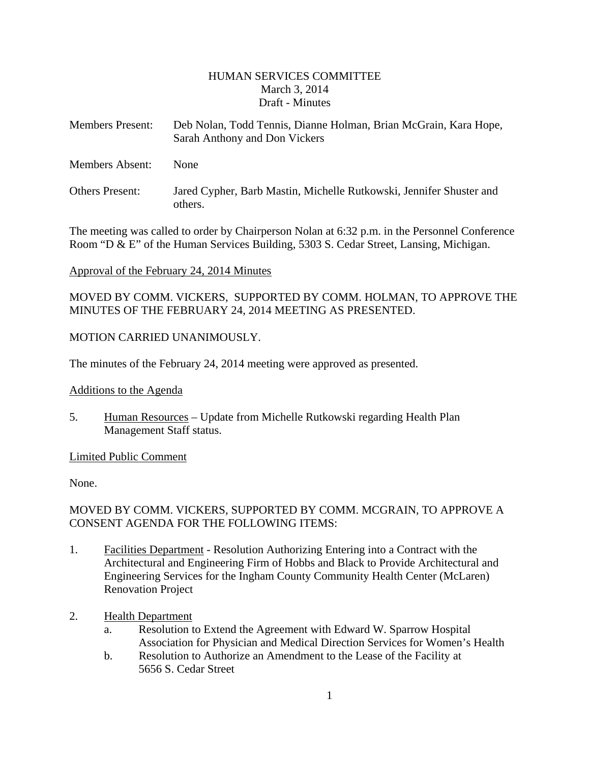#### HUMAN SERVICES COMMITTEE March 3, 2014 Draft - Minutes

<span id="page-1-0"></span>

| <b>Members Present:</b> | Deb Nolan, Todd Tennis, Dianne Holman, Brian McGrain, Kara Hope,<br>Sarah Anthony and Don Vickers |
|-------------------------|---------------------------------------------------------------------------------------------------|
| <b>Members Absent:</b>  | <b>None</b>                                                                                       |
| <b>Others Present:</b>  | Jared Cypher, Barb Mastin, Michelle Rutkowski, Jennifer Shuster and<br>others.                    |

The meeting was called to order by Chairperson Nolan at 6:32 p.m. in the Personnel Conference Room "D & E" of the Human Services Building, 5303 S. Cedar Street, Lansing, Michigan.

#### Approval of the February 24, 2014 Minutes

MOVED BY COMM. VICKERS, SUPPORTED BY COMM. HOLMAN, TO APPROVE THE MINUTES OF THE FEBRUARY 24, 2014 MEETING AS PRESENTED.

#### MOTION CARRIED UNANIMOUSLY.

The minutes of the February 24, 2014 meeting were approved as presented.

#### Additions to the Agenda

5. Human Resources – Update from Michelle Rutkowski regarding Health Plan Management Staff status.

#### Limited Public Comment

None.

#### MOVED BY COMM. VICKERS, SUPPORTED BY COMM. MCGRAIN, TO APPROVE A CONSENT AGENDA FOR THE FOLLOWING ITEMS:

- 1. Facilities Department Resolution Authorizing Entering into a Contract with the Architectural and Engineering Firm of Hobbs and Black to Provide Architectural and Engineering Services for the Ingham County Community Health Center (McLaren) Renovation Project
- 2. Health Department
	- a. Resolution to Extend the Agreement with Edward W. Sparrow Hospital Association for Physician and Medical Direction Services for Women's Health
	- b. Resolution to Authorize an Amendment to the Lease of the Facility at 5656 S. Cedar Street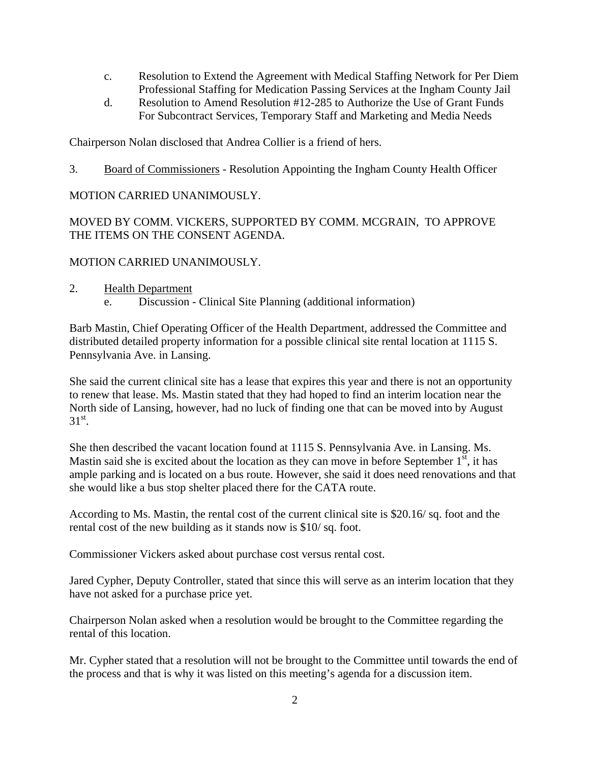- c. Resolution to Extend the Agreement with Medical Staffing Network for Per Diem Professional Staffing for Medication Passing Services at the Ingham County Jail
- d. Resolution to Amend Resolution #12-285 to Authorize the Use of Grant Funds For Subcontract Services, Temporary Staff and Marketing and Media Needs

Chairperson Nolan disclosed that Andrea Collier is a friend of hers.

3. Board of Commissioners - Resolution Appointing the Ingham County Health Officer

#### MOTION CARRIED UNANIMOUSLY.

MOVED BY COMM. VICKERS, SUPPORTED BY COMM. MCGRAIN, TO APPROVE THE ITEMS ON THE CONSENT AGENDA.

#### MOTION CARRIED UNANIMOUSLY.

- 2. Health Department
	- e. Discussion Clinical Site Planning (additional information)

Barb Mastin, Chief Operating Officer of the Health Department, addressed the Committee and distributed detailed property information for a possible clinical site rental location at 1115 S. Pennsylvania Ave. in Lansing.

She said the current clinical site has a lease that expires this year and there is not an opportunity to renew that lease. Ms. Mastin stated that they had hoped to find an interim location near the North side of Lansing, however, had no luck of finding one that can be moved into by August  $31^\text{st}$ .

She then described the vacant location found at 1115 S. Pennsylvania Ave. in Lansing. Ms. Mastin said she is excited about the location as they can move in before September  $1<sup>st</sup>$ , it has ample parking and is located on a bus route. However, she said it does need renovations and that she would like a bus stop shelter placed there for the CATA route.

According to Ms. Mastin, the rental cost of the current clinical site is \$20.16/ sq. foot and the rental cost of the new building as it stands now is \$10/ sq. foot.

Commissioner Vickers asked about purchase cost versus rental cost.

Jared Cypher, Deputy Controller, stated that since this will serve as an interim location that they have not asked for a purchase price yet.

Chairperson Nolan asked when a resolution would be brought to the Committee regarding the rental of this location.

Mr. Cypher stated that a resolution will not be brought to the Committee until towards the end of the process and that is why it was listed on this meeting's agenda for a discussion item.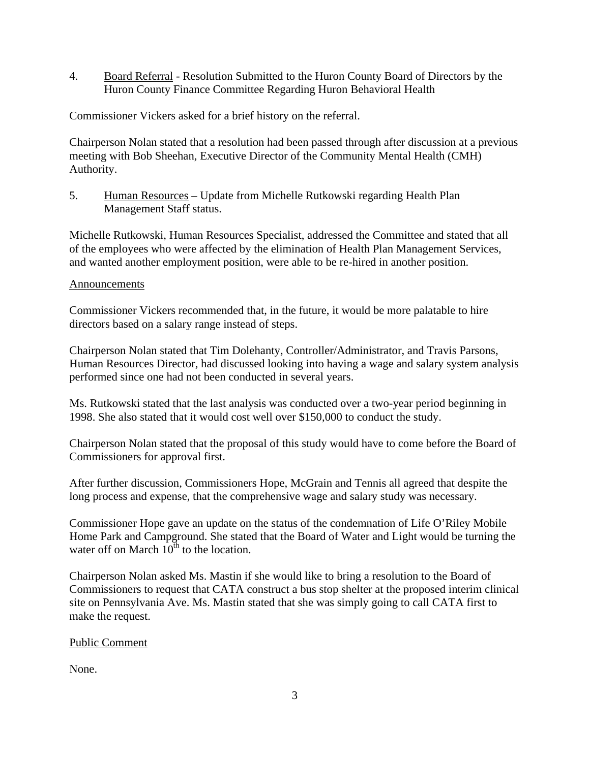4. Board Referral - Resolution Submitted to the Huron County Board of Directors by the Huron County Finance Committee Regarding Huron Behavioral Health

Commissioner Vickers asked for a brief history on the referral.

Chairperson Nolan stated that a resolution had been passed through after discussion at a previous meeting with Bob Sheehan, Executive Director of the Community Mental Health (CMH) Authority.

5. Human Resources – Update from Michelle Rutkowski regarding Health Plan Management Staff status.

Michelle Rutkowski, Human Resources Specialist, addressed the Committee and stated that all of the employees who were affected by the elimination of Health Plan Management Services, and wanted another employment position, were able to be re-hired in another position.

#### Announcements

Commissioner Vickers recommended that, in the future, it would be more palatable to hire directors based on a salary range instead of steps.

Chairperson Nolan stated that Tim Dolehanty, Controller/Administrator, and Travis Parsons, Human Resources Director, had discussed looking into having a wage and salary system analysis performed since one had not been conducted in several years.

Ms. Rutkowski stated that the last analysis was conducted over a two-year period beginning in 1998. She also stated that it would cost well over \$150,000 to conduct the study.

Chairperson Nolan stated that the proposal of this study would have to come before the Board of Commissioners for approval first.

After further discussion, Commissioners Hope, McGrain and Tennis all agreed that despite the long process and expense, that the comprehensive wage and salary study was necessary.

Commissioner Hope gave an update on the status of the condemnation of Life O'Riley Mobile Home Park and Campground. She stated that the Board of Water and Light would be turning the water off on March  $10^{th}$  to the location.

Chairperson Nolan asked Ms. Mastin if she would like to bring a resolution to the Board of Commissioners to request that CATA construct a bus stop shelter at the proposed interim clinical site on Pennsylvania Ave. Ms. Mastin stated that she was simply going to call CATA first to make the request.

#### Public Comment

None.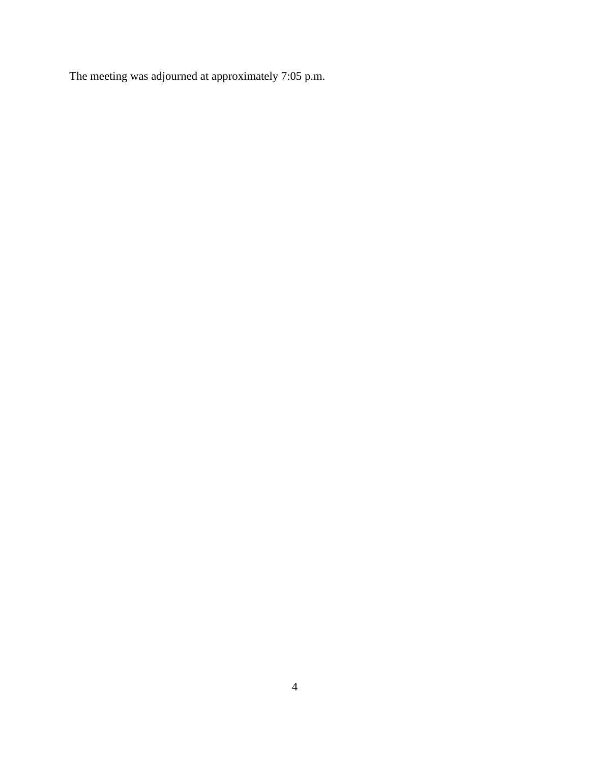The meeting was adjourned at approximately 7:05 p.m.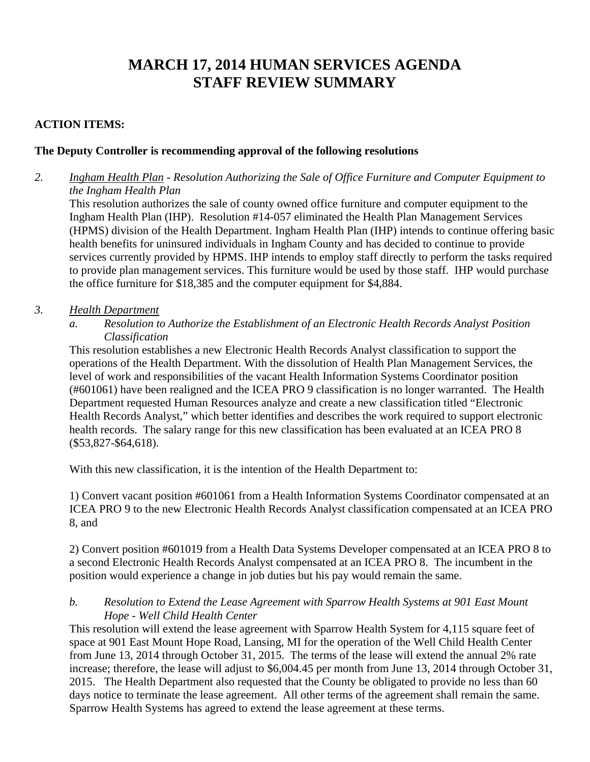# **MARCH 17, 2014 HUMAN SERVICES AGENDA STAFF REVIEW SUMMARY**

## **ACTION ITEMS:**

#### **The Deputy Controller is recommending approval of the following resolutions**

*2. Ingham Health Plan - Resolution Authorizing the Sale of Office Furniture and Computer Equipment to the Ingham Health Plan* 

 This resolution authorizes the sale of county owned office furniture and computer equipment to the Ingham Health Plan (IHP). Resolution #14-057 eliminated the Health Plan Management Services (HPMS) division of the Health Department. Ingham Health Plan (IHP) intends to continue offering basic health benefits for uninsured individuals in Ingham County and has decided to continue to provide services currently provided by HPMS. IHP intends to employ staff directly to perform the tasks required to provide plan management services. This furniture would be used by those staff. IHP would purchase the office furniture for \$18,385 and the computer equipment for \$4,884.

#### *3. Health Department*

*a. Resolution to Authorize the Establishment of an Electronic Health Records Analyst Position Classification* 

This resolution establishes a new Electronic Health Records Analyst classification to support the operations of the Health Department. With the dissolution of Health Plan Management Services, the level of work and responsibilities of the vacant Health Information Systems Coordinator position (#601061) have been realigned and the ICEA PRO 9 classification is no longer warranted. The Health Department requested Human Resources analyze and create a new classification titled "Electronic Health Records Analyst," which better identifies and describes the work required to support electronic health records. The salary range for this new classification has been evaluated at an ICEA PRO 8 (\$53,827-\$64,618).

With this new classification, it is the intention of the Health Department to:

1) Convert vacant position #601061 from a Health Information Systems Coordinator compensated at an ICEA PRO 9 to the new Electronic Health Records Analyst classification compensated at an ICEA PRO 8, and

2) Convert position #601019 from a Health Data Systems Developer compensated at an ICEA PRO 8 to a second Electronic Health Records Analyst compensated at an ICEA PRO 8. The incumbent in the position would experience a change in job duties but his pay would remain the same.

#### *b. Resolution to Extend the Lease Agreement with Sparrow Health Systems at 901 East Mount Hope - Well Child Health Center*

This resolution will extend the lease agreement with Sparrow Health System for 4,115 square feet of space at 901 East Mount Hope Road, Lansing, MI for the operation of the Well Child Health Center from June 13, 2014 through October 31, 2015. The terms of the lease will extend the annual 2% rate increase; therefore, the lease will adjust to \$6,004.45 per month from June 13, 2014 through October 31, 2015. The Health Department also requested that the County be obligated to provide no less than 60 days notice to terminate the lease agreement. All other terms of the agreement shall remain the same. Sparrow Health Systems has agreed to extend the lease agreement at these terms.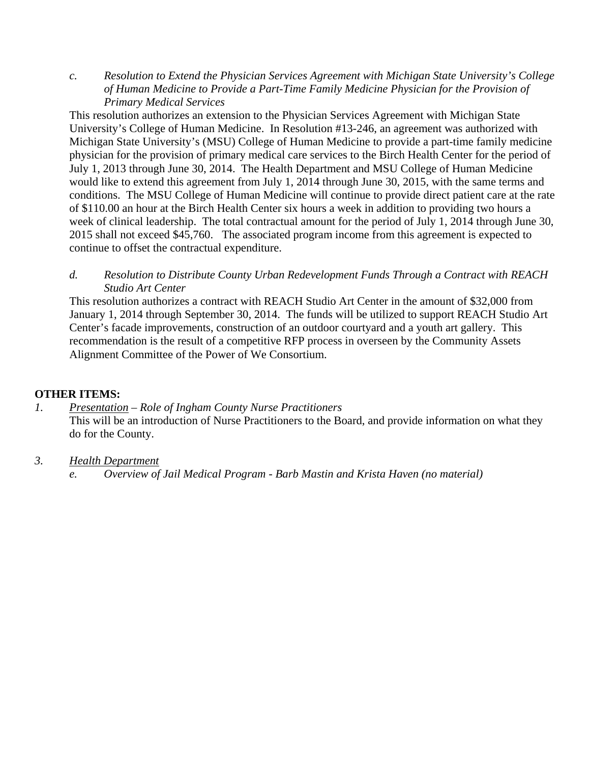*c. Resolution to Extend the Physician Services Agreement with Michigan State University's College of Human Medicine to Provide a Part-Time Family Medicine Physician for the Provision of Primary Medical Services* 

This resolution authorizes an extension to the Physician Services Agreement with Michigan State University's College of Human Medicine. In Resolution #13-246, an agreement was authorized with Michigan State University's (MSU) College of Human Medicine to provide a part-time family medicine physician for the provision of primary medical care services to the Birch Health Center for the period of July 1, 2013 through June 30, 2014. The Health Department and MSU College of Human Medicine would like to extend this agreement from July 1, 2014 through June 30, 2015, with the same terms and conditions. The MSU College of Human Medicine will continue to provide direct patient care at the rate of \$110.00 an hour at the Birch Health Center six hours a week in addition to providing two hours a week of clinical leadership. The total contractual amount for the period of July 1, 2014 through June 30, 2015 shall not exceed \$45,760. The associated program income from this agreement is expected to continue to offset the contractual expenditure.

*d. Resolution to Distribute County Urban Redevelopment Funds Through a Contract with REACH Studio Art Center* 

This resolution authorizes a contract with REACH Studio Art Center in the amount of \$32,000 from January 1, 2014 through September 30, 2014. The funds will be utilized to support REACH Studio Art Center's facade improvements, construction of an outdoor courtyard and a youth art gallery. This recommendation is the result of a competitive RFP process in overseen by the Community Assets Alignment Committee of the Power of We Consortium.

## **OTHER ITEMS:**

*1. Presentation – Role of Ingham County Nurse Practitioners*  This will be an introduction of Nurse Practitioners to the Board, and provide information on what they do for the County.

## *3. Health Department*

*e. Overview of Jail Medical Program - Barb Mastin and Krista Haven (no material)*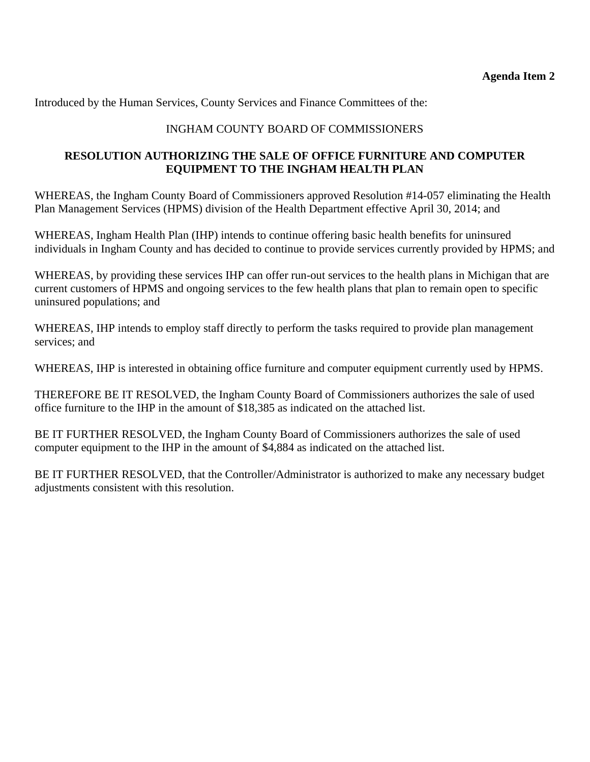<span id="page-7-0"></span>Introduced by the Human Services, County Services and Finance Committees of the:

## INGHAM COUNTY BOARD OF COMMISSIONERS

## **RESOLUTION AUTHORIZING THE SALE OF OFFICE FURNITURE AND COMPUTER EQUIPMENT TO THE INGHAM HEALTH PLAN**

WHEREAS, the Ingham County Board of Commissioners approved Resolution #14-057 eliminating the Health Plan Management Services (HPMS) division of the Health Department effective April 30, 2014; and

WHEREAS, Ingham Health Plan (IHP) intends to continue offering basic health benefits for uninsured individuals in Ingham County and has decided to continue to provide services currently provided by HPMS; and

WHEREAS, by providing these services IHP can offer run-out services to the health plans in Michigan that are current customers of HPMS and ongoing services to the few health plans that plan to remain open to specific uninsured populations; and

WHEREAS, IHP intends to employ staff directly to perform the tasks required to provide plan management services; and

WHEREAS, IHP is interested in obtaining office furniture and computer equipment currently used by HPMS.

THEREFORE BE IT RESOLVED, the Ingham County Board of Commissioners authorizes the sale of used office furniture to the IHP in the amount of \$18,385 as indicated on the attached list.

BE IT FURTHER RESOLVED, the Ingham County Board of Commissioners authorizes the sale of used computer equipment to the IHP in the amount of \$4,884 as indicated on the attached list.

BE IT FURTHER RESOLVED, that the Controller/Administrator is authorized to make any necessary budget adjustments consistent with this resolution.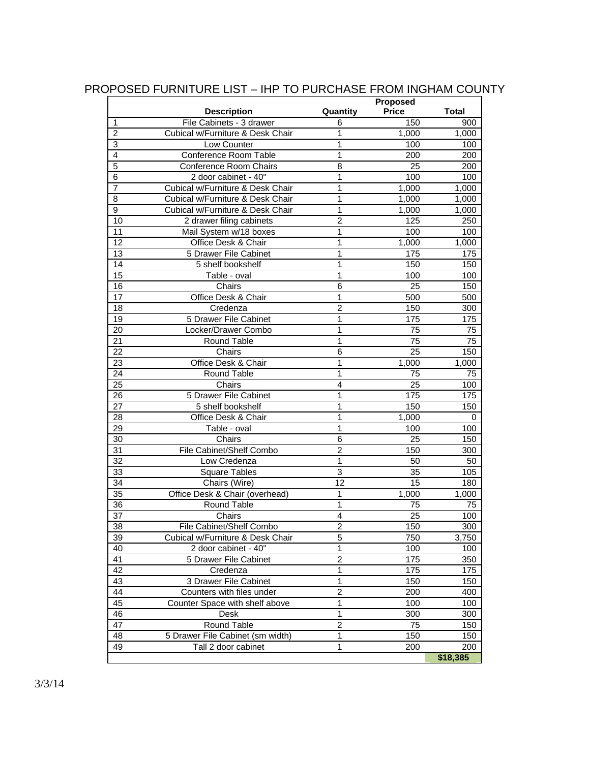|                 |                                  |                | Proposed        |              |
|-----------------|----------------------------------|----------------|-----------------|--------------|
|                 | <b>Description</b>               | Quantity       | <b>Price</b>    | <b>Total</b> |
| $\mathbf{1}$    | File Cabinets - 3 drawer         | 6              | 150             | 900          |
| $\overline{2}$  | Cubical w/Furniture & Desk Chair | 1              | 1,000           | 1,000        |
| 3               | Low Counter                      | 1              | 100             | 100          |
| $\overline{4}$  | Conference Room Table            | 1              | 200             | 200          |
| $\overline{5}$  | <b>Conference Room Chairs</b>    | $\overline{8}$ | 25              | 200          |
| 6               | 2 door cabinet - 40"             | 1              | 100             | 100          |
| $\overline{7}$  | Cubical w/Furniture & Desk Chair | 1              | 1,000           | 1,000        |
| 8               | Cubical w/Furniture & Desk Chair | 1              | 1,000           | 1,000        |
| 9               | Cubical w/Furniture & Desk Chair | $\mathbf{1}$   | 1,000           | 1,000        |
| 10              | 2 drawer filing cabinets         | $\overline{2}$ | 125             | 250          |
| 11              | Mail System w/18 boxes           | 1              | 100             | 100          |
| 12              | Office Desk & Chair              | 1              | 1,000           | 1,000        |
| 13              | 5 Drawer File Cabinet            | 1              | 175             | 175          |
| 14              | 5 shelf bookshelf                | 1              | 150             | 150          |
| 15              | Table - oval                     | 1              | 100             | 100          |
| 16              | Chairs                           | 6              | 25              | 150          |
| 17              | Office Desk & Chair              | 1              | 500             | 500          |
| 18              | Credenza                         | $\overline{2}$ | 150             | 300          |
| 19              | 5 Drawer File Cabinet            | 1              | 175             | 175          |
| $\overline{20}$ | Locker/Drawer Combo              | $\mathbf 1$    | 75              | 75           |
| $\overline{21}$ | Round Table                      | 1              | $\overline{75}$ | 75           |
| 22              | Chairs                           | 6              | 25              | 150          |
| 23              | Office Desk & Chair              | 1              | 1,000           | 1,000        |
| 24              | Round Table                      | 1              | 75              | 75           |
| $\overline{25}$ | Chairs                           | $\overline{4}$ | 25              | 100          |
| 26              | 5 Drawer File Cabinet            | 1              | 175             | 175          |
| $\overline{27}$ | 5 shelf bookshelf                | 1              | 150             | 150          |
| 28              | Office Desk & Chair              | 1              | 1,000           | 0            |
| 29              | Table - oval                     | 1              | 100             | 100          |
| 30              | Chairs                           | 6              | 25              | 150          |
| 31              | File Cabinet/Shelf Combo         | $\overline{2}$ | 150             | 300          |
| 32              | Low Credenza                     | $\mathbf{1}$   | 50              | 50           |
| 33              | <b>Square Tables</b>             | $\overline{3}$ | 35              | 105          |
| 34              | Chairs (Wire)                    | 12             | 15              | 180          |
| 35              | Office Desk & Chair (overhead)   | 1              | 1,000           | 1,000        |
| 36              | Round Table                      | 1              | 75              | 75           |
| $\overline{37}$ | Chairs                           | 4              | 25              | 100          |
| 38              | File Cabinet/Shelf Combo         | 2              | 150             | 300          |
| 39              | Cubical w/Furniture & Desk Chair | $\overline{5}$ | 750             | 3,750        |
| 40              | 2 door cabinet - 40"             | 1              | 100             | 100          |
| 41              | 5 Drawer File Cabinet            | $\overline{2}$ | 175             | 350          |
| 42              | Credenza                         | $\mathbf{1}$   | 175             | 175          |
| 43              | 3 Drawer File Cabinet            | $\mathbf{1}$   | 150             | 150          |
| 44              | Counters with files under        | $\overline{c}$ | 200             | 400          |
| 45              | Counter Space with shelf above   | 1              | 100             | 100          |
| 46              | <b>Desk</b>                      | $\mathbf{1}$   | 300             | 300          |
| 47              | Round Table                      | $\overline{c}$ | 75              | 150          |
| 48              | 5 Drawer File Cabinet (sm width) | $\overline{1}$ | 150             | 150          |
| 49              | Tall 2 door cabinet              | $\mathbf{1}$   | 200             | 200          |
|                 |                                  |                |                 | \$18,385     |

## PROPOSED FURNITURE LIST – IHP TO PURCHASE FROM INGHAM COUNTY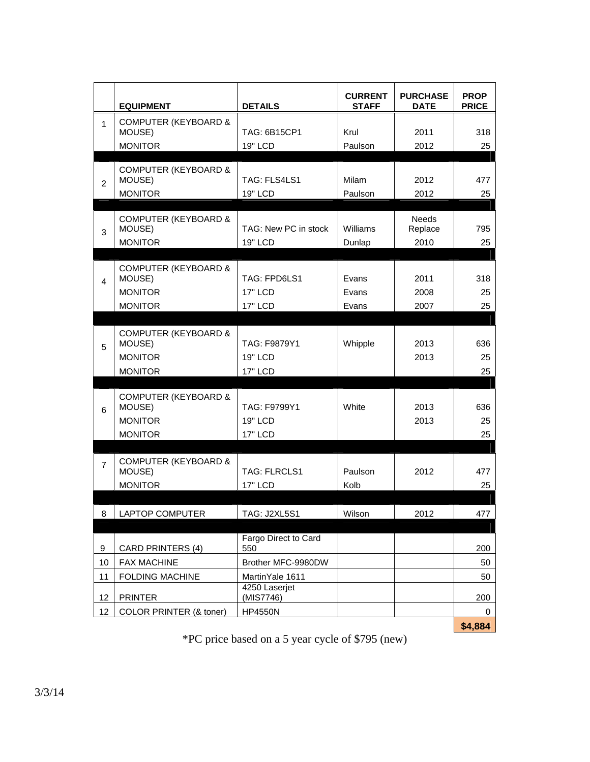|                | <b>EQUIPMENT</b>                                                              | <b>DETAILS</b>                                    | <b>CURRENT</b><br><b>STAFF</b> | <b>PURCHASE</b><br><b>DATE</b>  | <b>PROP</b><br><b>PRICE</b> |
|----------------|-------------------------------------------------------------------------------|---------------------------------------------------|--------------------------------|---------------------------------|-----------------------------|
| 1              | <b>COMPUTER (KEYBOARD &amp;</b><br>MOUSE)<br><b>MONITOR</b>                   | TAG: 6B15CP1<br>19" LCD                           | Krul<br>Paulson                | 2011<br>2012                    | 318<br>25                   |
| $\overline{2}$ | <b>COMPUTER (KEYBOARD &amp;</b><br>MOUSE)<br><b>MONITOR</b>                   | TAG: FLS4LS1<br>19" LCD                           | <b>Milam</b><br>Paulson        | 2012<br>2012                    | 477<br>25                   |
| 3              | <b>COMPUTER (KEYBOARD &amp;</b><br>MOUSE)<br><b>MONITOR</b>                   | TAG: New PC in stock<br>19" LCD                   | Williams<br>Dunlap             | <b>Needs</b><br>Replace<br>2010 | 795<br>25                   |
| 4              | <b>COMPUTER (KEYBOARD &amp;</b><br>MOUSE)<br><b>MONITOR</b><br><b>MONITOR</b> | TAG: FPD6LS1<br><b>17" LCD</b><br><b>17" LCD</b>  | Evans<br>Evans<br>Evans        | 2011<br>2008<br>2007            | 318<br>25<br>25             |
| 5              | <b>COMPUTER (KEYBOARD &amp;</b><br>MOUSE)<br><b>MONITOR</b><br><b>MONITOR</b> | TAG: F9879Y1<br>19" LCD<br><b>17" LCD</b>         | Whipple                        | 2013<br>2013                    | 636<br>25<br>25             |
| 6              | <b>COMPUTER (KEYBOARD &amp;</b><br>MOUSE)<br><b>MONITOR</b><br><b>MONITOR</b> | TAG: F9799Y1<br><b>19" LCD</b><br><b>17" LCD</b>  | White                          | 2013<br>2013                    | 636<br>25<br>25             |
| $\overline{7}$ | <b>COMPUTER (KEYBOARD &amp;</b><br>MOUSE)<br><b>MONITOR</b>                   | <b>TAG: FLRCLS1</b><br><b>17" LCD</b>             | Paulson<br>Kolb                | 2012                            | 477<br>25                   |
| 8              | LAPTOP COMPUTER                                                               | <b>TAG: J2XL5S1</b>                               | Wilson                         | 2012                            | 477                         |
| 9<br>10        | <b>CARD PRINTERS (4)</b><br>FAX MACHINE                                       | Fargo Direct to Card<br>550<br>Brother MFC-9980DW |                                |                                 | 200<br>50                   |
| 11             | <b>FOLDING MACHINE</b>                                                        | MartinYale 1611<br>4250 Laserjet                  |                                |                                 | 50                          |
| 12<br>12       | <b>PRINTER</b><br>COLOR PRINTER (& toner)                                     | (MIS7746)<br><b>HP4550N</b>                       |                                |                                 | 200<br>0<br>\$4,884         |

\*PC price based on a 5 year cycle of \$795 (new)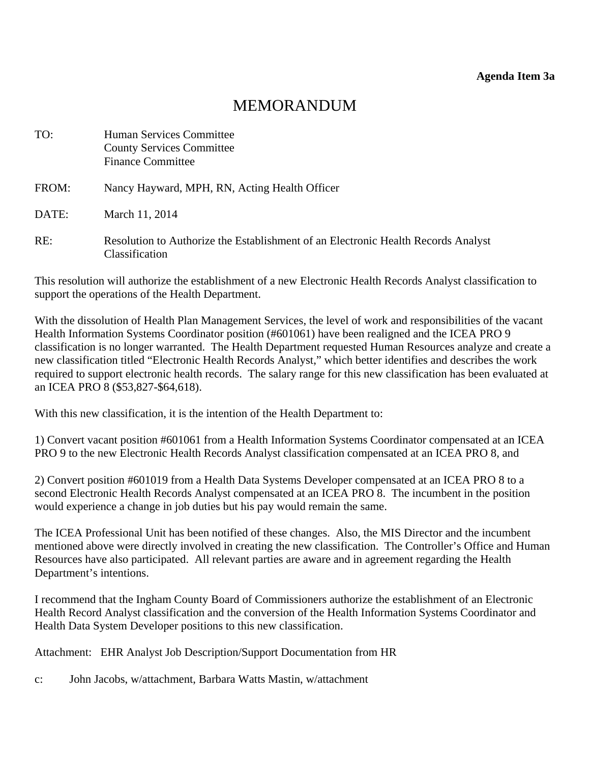# MEMORANDUM

<span id="page-10-0"></span>

| TO:   | Human Services Committee<br><b>County Services Committee</b><br><b>Finance Committee</b>            |
|-------|-----------------------------------------------------------------------------------------------------|
| FROM: | Nancy Hayward, MPH, RN, Acting Health Officer                                                       |
| DATE: | March 11, 2014                                                                                      |
| RE:   | Resolution to Authorize the Establishment of an Electronic Health Records Analyst<br>Classification |

This resolution will authorize the establishment of a new Electronic Health Records Analyst classification to support the operations of the Health Department.

With the dissolution of Health Plan Management Services, the level of work and responsibilities of the vacant Health Information Systems Coordinator position (#601061) have been realigned and the ICEA PRO 9 classification is no longer warranted. The Health Department requested Human Resources analyze and create a new classification titled "Electronic Health Records Analyst," which better identifies and describes the work required to support electronic health records. The salary range for this new classification has been evaluated at an ICEA PRO 8 (\$53,827-\$64,618).

With this new classification, it is the intention of the Health Department to:

1) Convert vacant position #601061 from a Health Information Systems Coordinator compensated at an ICEA PRO 9 to the new Electronic Health Records Analyst classification compensated at an ICEA PRO 8, and

2) Convert position #601019 from a Health Data Systems Developer compensated at an ICEA PRO 8 to a second Electronic Health Records Analyst compensated at an ICEA PRO 8. The incumbent in the position would experience a change in job duties but his pay would remain the same.

The ICEA Professional Unit has been notified of these changes. Also, the MIS Director and the incumbent mentioned above were directly involved in creating the new classification. The Controller's Office and Human Resources have also participated. All relevant parties are aware and in agreement regarding the Health Department's intentions.

I recommend that the Ingham County Board of Commissioners authorize the establishment of an Electronic Health Record Analyst classification and the conversion of the Health Information Systems Coordinator and Health Data System Developer positions to this new classification.

Attachment: EHR Analyst Job Description/Support Documentation from HR

c: John Jacobs, w/attachment, Barbara Watts Mastin, w/attachment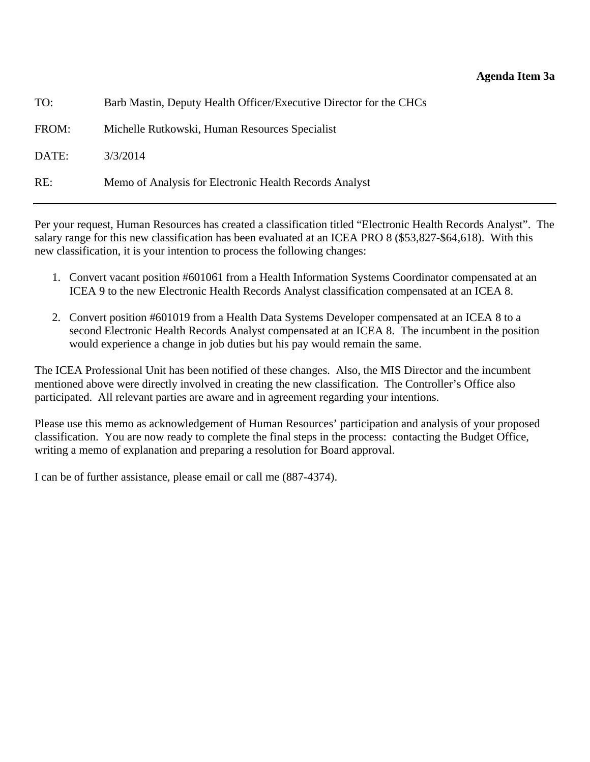#### **Agenda Item 3a**

| TO:   | Barb Mastin, Deputy Health Officer/Executive Director for the CHCs |
|-------|--------------------------------------------------------------------|
| FROM: | Michelle Rutkowski, Human Resources Specialist                     |
| DATE: | 3/3/2014                                                           |
| RE:   | Memo of Analysis for Electronic Health Records Analyst             |

Per your request, Human Resources has created a classification titled "Electronic Health Records Analyst". The salary range for this new classification has been evaluated at an ICEA PRO 8 (\$53,827-\$64,618). With this new classification, it is your intention to process the following changes:

- 1. Convert vacant position #601061 from a Health Information Systems Coordinator compensated at an ICEA 9 to the new Electronic Health Records Analyst classification compensated at an ICEA 8.
- 2. Convert position #601019 from a Health Data Systems Developer compensated at an ICEA 8 to a second Electronic Health Records Analyst compensated at an ICEA 8. The incumbent in the position would experience a change in job duties but his pay would remain the same.

The ICEA Professional Unit has been notified of these changes. Also, the MIS Director and the incumbent mentioned above were directly involved in creating the new classification. The Controller's Office also participated. All relevant parties are aware and in agreement regarding your intentions.

Please use this memo as acknowledgement of Human Resources' participation and analysis of your proposed classification. You are now ready to complete the final steps in the process: contacting the Budget Office, writing a memo of explanation and preparing a resolution for Board approval.

I can be of further assistance, please email or call me (887-4374).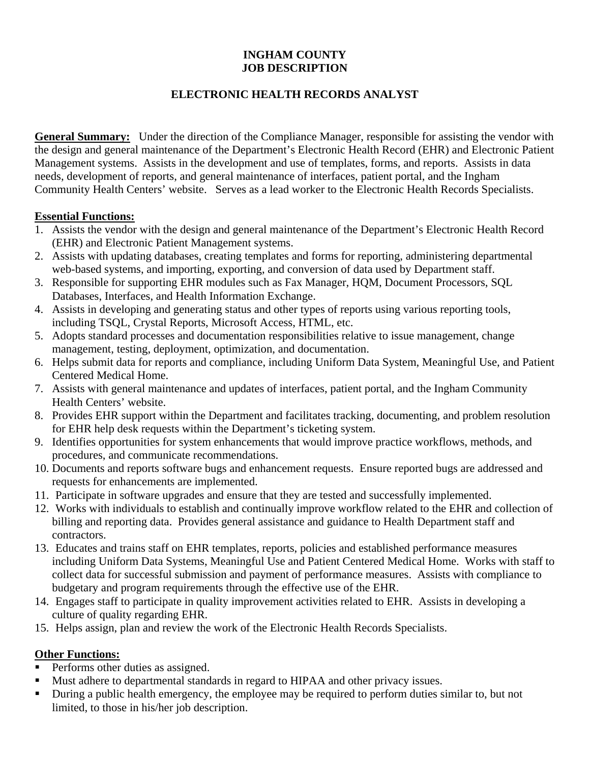## **INGHAM COUNTY JOB DESCRIPTION**

## **ELECTRONIC HEALTH RECORDS ANALYST**

**General Summary:** Under the direction of the Compliance Manager, responsible for assisting the vendor with the design and general maintenance of the Department's Electronic Health Record (EHR) and Electronic Patient Management systems. Assists in the development and use of templates, forms, and reports. Assists in data needs, development of reports, and general maintenance of interfaces, patient portal, and the Ingham Community Health Centers' website. Serves as a lead worker to the Electronic Health Records Specialists.

#### **Essential Functions:**

- 1. Assists the vendor with the design and general maintenance of the Department's Electronic Health Record (EHR) and Electronic Patient Management systems.
- 2. Assists with updating databases, creating templates and forms for reporting, administering departmental web-based systems, and importing, exporting, and conversion of data used by Department staff.
- 3. Responsible for supporting EHR modules such as Fax Manager, HQM, Document Processors, SQL Databases, Interfaces, and Health Information Exchange.
- 4. Assists in developing and generating status and other types of reports using various reporting tools, including TSQL, Crystal Reports, Microsoft Access, HTML, etc.
- 5. Adopts standard processes and documentation responsibilities relative to issue management, change management, testing, deployment, optimization, and documentation.
- 6. Helps submit data for reports and compliance, including Uniform Data System, Meaningful Use, and Patient Centered Medical Home.
- 7. Assists with general maintenance and updates of interfaces, patient portal, and the Ingham Community Health Centers' website.
- 8. Provides EHR support within the Department and facilitates tracking, documenting, and problem resolution for EHR help desk requests within the Department's ticketing system.
- 9. Identifies opportunities for system enhancements that would improve practice workflows, methods, and procedures, and communicate recommendations.
- 10. Documents and reports software bugs and enhancement requests. Ensure reported bugs are addressed and requests for enhancements are implemented.
- 11. Participate in software upgrades and ensure that they are tested and successfully implemented.
- 12. Works with individuals to establish and continually improve workflow related to the EHR and collection of billing and reporting data. Provides general assistance and guidance to Health Department staff and contractors.
- 13. Educates and trains staff on EHR templates, reports, policies and established performance measures including Uniform Data Systems, Meaningful Use and Patient Centered Medical Home. Works with staff to collect data for successful submission and payment of performance measures. Assists with compliance to budgetary and program requirements through the effective use of the EHR.
- 14. Engages staff to participate in quality improvement activities related to EHR. Assists in developing a culture of quality regarding EHR.
- 15. Helps assign, plan and review the work of the Electronic Health Records Specialists.

## **Other Functions:**

- Performs other duties as assigned.
- Must adhere to departmental standards in regard to HIPAA and other privacy issues.
- During a public health emergency, the employee may be required to perform duties similar to, but not limited, to those in his/her job description.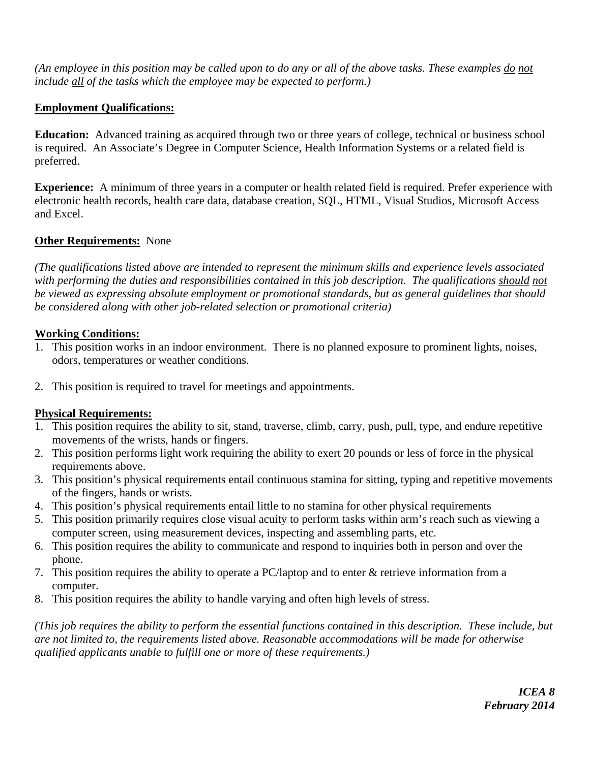*(An employee in this position may be called upon to do any or all of the above tasks. These examples do not include all of the tasks which the employee may be expected to perform.)* 

## **Employment Qualifications:**

**Education:** Advanced training as acquired through two or three years of college, technical or business school is required. An Associate's Degree in Computer Science, Health Information Systems or a related field is preferred.

**Experience:** A minimum of three years in a computer or health related field is required. Prefer experience with electronic health records, health care data, database creation, SQL, HTML, Visual Studios, Microsoft Access and Excel.

## **Other Requirements:** None

*(The qualifications listed above are intended to represent the minimum skills and experience levels associated with performing the duties and responsibilities contained in this job description. The qualifications should not be viewed as expressing absolute employment or promotional standards, but as general guidelines that should be considered along with other job-related selection or promotional criteria)* 

## **Working Conditions:**

- 1. This position works in an indoor environment. There is no planned exposure to prominent lights, noises, odors, temperatures or weather conditions.
- 2. This position is required to travel for meetings and appointments.

## **Physical Requirements:**

- 1. This position requires the ability to sit, stand, traverse, climb, carry, push, pull, type, and endure repetitive movements of the wrists, hands or fingers.
- 2. This position performs light work requiring the ability to exert 20 pounds or less of force in the physical requirements above.
- 3. This position's physical requirements entail continuous stamina for sitting, typing and repetitive movements of the fingers, hands or wrists.
- 4. This position's physical requirements entail little to no stamina for other physical requirements
- 5. This position primarily requires close visual acuity to perform tasks within arm's reach such as viewing a computer screen, using measurement devices, inspecting and assembling parts, etc.
- 6. This position requires the ability to communicate and respond to inquiries both in person and over the phone.
- 7. This position requires the ability to operate a PC/laptop and to enter & retrieve information from a computer.
- 8. This position requires the ability to handle varying and often high levels of stress.

*(This job requires the ability to perform the essential functions contained in this description. These include, but are not limited to, the requirements listed above. Reasonable accommodations will be made for otherwise qualified applicants unable to fulfill one or more of these requirements.)*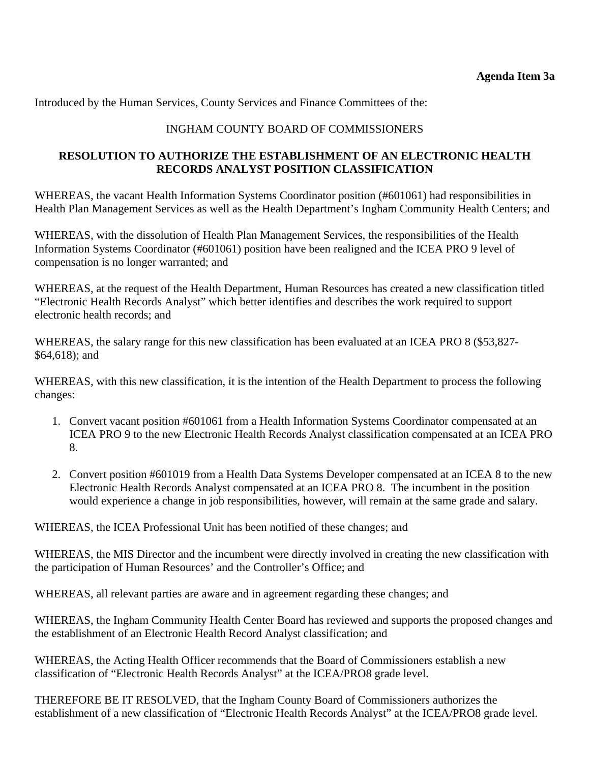Introduced by the Human Services, County Services and Finance Committees of the:

## INGHAM COUNTY BOARD OF COMMISSIONERS

## **RESOLUTION TO AUTHORIZE THE ESTABLISHMENT OF AN ELECTRONIC HEALTH RECORDS ANALYST POSITION CLASSIFICATION**

WHEREAS, the vacant Health Information Systems Coordinator position (#601061) had responsibilities in Health Plan Management Services as well as the Health Department's Ingham Community Health Centers; and

WHEREAS, with the dissolution of Health Plan Management Services, the responsibilities of the Health Information Systems Coordinator (#601061) position have been realigned and the ICEA PRO 9 level of compensation is no longer warranted; and

WHEREAS, at the request of the Health Department, Human Resources has created a new classification titled "Electronic Health Records Analyst" which better identifies and describes the work required to support electronic health records; and

WHEREAS, the salary range for this new classification has been evaluated at an ICEA PRO 8 (\$53,827- \$64,618); and

WHEREAS, with this new classification, it is the intention of the Health Department to process the following changes:

- 1. Convert vacant position #601061 from a Health Information Systems Coordinator compensated at an ICEA PRO 9 to the new Electronic Health Records Analyst classification compensated at an ICEA PRO 8.
- 2. Convert position #601019 from a Health Data Systems Developer compensated at an ICEA 8 to the new Electronic Health Records Analyst compensated at an ICEA PRO 8. The incumbent in the position would experience a change in job responsibilities, however, will remain at the same grade and salary.

WHEREAS, the ICEA Professional Unit has been notified of these changes; and

WHEREAS, the MIS Director and the incumbent were directly involved in creating the new classification with the participation of Human Resources' and the Controller's Office; and

WHEREAS, all relevant parties are aware and in agreement regarding these changes; and

WHEREAS, the Ingham Community Health Center Board has reviewed and supports the proposed changes and the establishment of an Electronic Health Record Analyst classification; and

WHEREAS, the Acting Health Officer recommends that the Board of Commissioners establish a new classification of "Electronic Health Records Analyst" at the ICEA/PRO8 grade level.

THEREFORE BE IT RESOLVED, that the Ingham County Board of Commissioners authorizes the establishment of a new classification of "Electronic Health Records Analyst" at the ICEA/PRO8 grade level.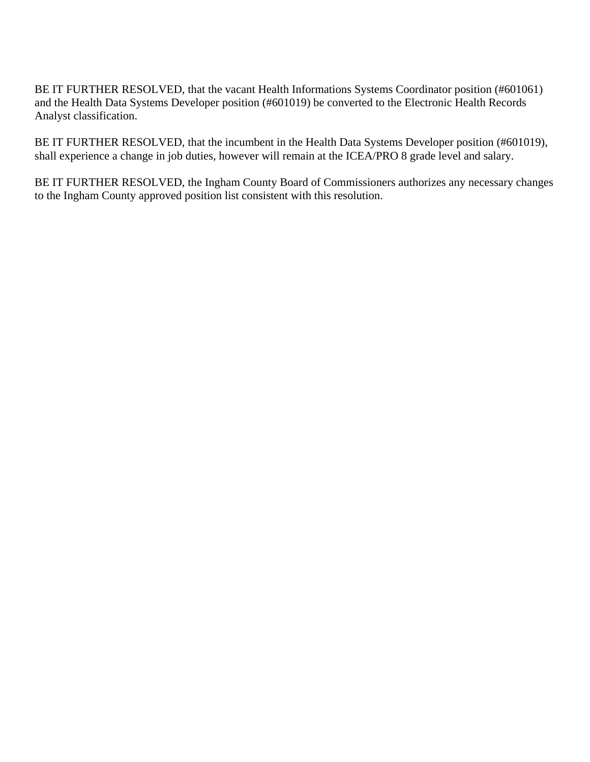BE IT FURTHER RESOLVED, that the vacant Health Informations Systems Coordinator position (#601061) and the Health Data Systems Developer position (#601019) be converted to the Electronic Health Records Analyst classification.

BE IT FURTHER RESOLVED, that the incumbent in the Health Data Systems Developer position (#601019), shall experience a change in job duties, however will remain at the ICEA/PRO 8 grade level and salary.

BE IT FURTHER RESOLVED, the Ingham County Board of Commissioners authorizes any necessary changes to the Ingham County approved position list consistent with this resolution.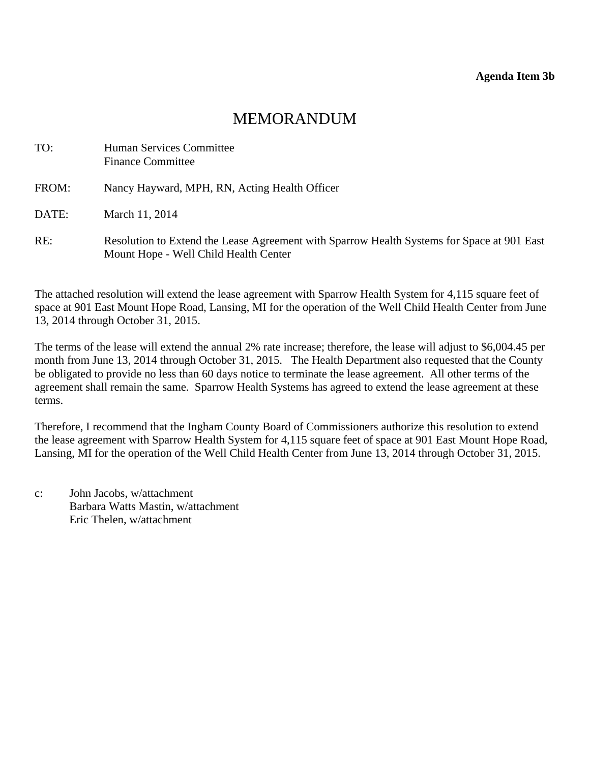## MEMORANDUM

<span id="page-16-0"></span>

| TO:   | Human Services Committee<br><b>Finance Committee</b>                                                                                |
|-------|-------------------------------------------------------------------------------------------------------------------------------------|
| FROM: | Nancy Hayward, MPH, RN, Acting Health Officer                                                                                       |
| DATE: | March 11, 2014                                                                                                                      |
| RE:   | Resolution to Extend the Lease Agreement with Sparrow Health Systems for Space at 901 East<br>Mount Hope - Well Child Health Center |

The attached resolution will extend the lease agreement with Sparrow Health System for 4,115 square feet of space at 901 East Mount Hope Road, Lansing, MI for the operation of the Well Child Health Center from June 13, 2014 through October 31, 2015.

The terms of the lease will extend the annual 2% rate increase; therefore, the lease will adjust to \$6,004.45 per month from June 13, 2014 through October 31, 2015. The Health Department also requested that the County be obligated to provide no less than 60 days notice to terminate the lease agreement. All other terms of the agreement shall remain the same. Sparrow Health Systems has agreed to extend the lease agreement at these terms.

Therefore, I recommend that the Ingham County Board of Commissioners authorize this resolution to extend the lease agreement with Sparrow Health System for 4,115 square feet of space at 901 East Mount Hope Road, Lansing, MI for the operation of the Well Child Health Center from June 13, 2014 through October 31, 2015.

c: John Jacobs, w/attachment Barbara Watts Mastin, w/attachment Eric Thelen, w/attachment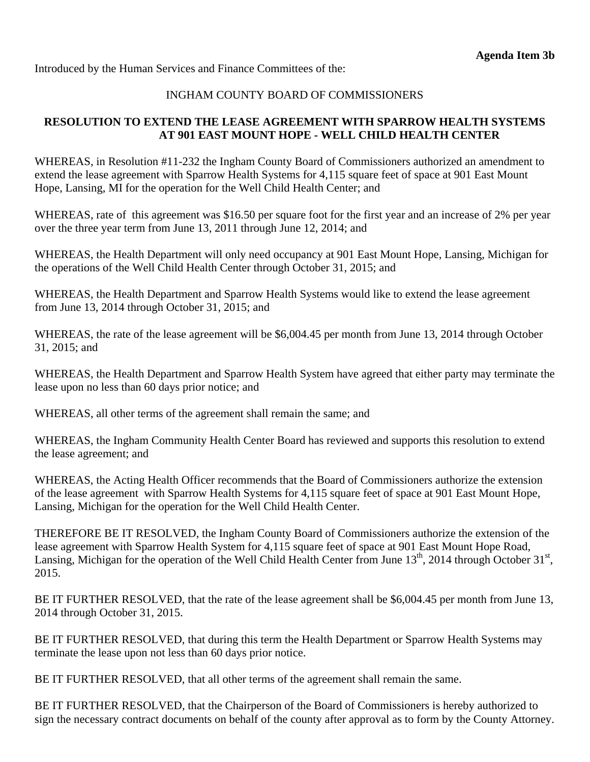Introduced by the Human Services and Finance Committees of the:

## INGHAM COUNTY BOARD OF COMMISSIONERS

#### **RESOLUTION TO EXTEND THE LEASE AGREEMENT WITH SPARROW HEALTH SYSTEMS AT 901 EAST MOUNT HOPE - WELL CHILD HEALTH CENTER**

WHEREAS, in Resolution #11-232 the Ingham County Board of Commissioners authorized an amendment to extend the lease agreement with Sparrow Health Systems for 4,115 square feet of space at 901 East Mount Hope, Lansing, MI for the operation for the Well Child Health Center; and

WHEREAS, rate of this agreement was \$16.50 per square foot for the first year and an increase of 2% per year over the three year term from June 13, 2011 through June 12, 2014; and

WHEREAS, the Health Department will only need occupancy at 901 East Mount Hope, Lansing, Michigan for the operations of the Well Child Health Center through October 31, 2015; and

WHEREAS, the Health Department and Sparrow Health Systems would like to extend the lease agreement from June 13, 2014 through October 31, 2015; and

WHEREAS, the rate of the lease agreement will be \$6,004.45 per month from June 13, 2014 through October 31, 2015; and

WHEREAS, the Health Department and Sparrow Health System have agreed that either party may terminate the lease upon no less than 60 days prior notice; and

WHEREAS, all other terms of the agreement shall remain the same; and

WHEREAS, the Ingham Community Health Center Board has reviewed and supports this resolution to extend the lease agreement; and

WHEREAS, the Acting Health Officer recommends that the Board of Commissioners authorize the extension of the lease agreement with Sparrow Health Systems for 4,115 square feet of space at 901 East Mount Hope, Lansing, Michigan for the operation for the Well Child Health Center.

THEREFORE BE IT RESOLVED, the Ingham County Board of Commissioners authorize the extension of the lease agreement with Sparrow Health System for 4,115 square feet of space at 901 East Mount Hope Road, Lansing, Michigan for the operation of the Well Child Health Center from June  $13<sup>th</sup>$ , 2014 through October  $31<sup>st</sup>$ , 2015.

BE IT FURTHER RESOLVED, that the rate of the lease agreement shall be \$6,004.45 per month from June 13, 2014 through October 31, 2015.

BE IT FURTHER RESOLVED, that during this term the Health Department or Sparrow Health Systems may terminate the lease upon not less than 60 days prior notice.

BE IT FURTHER RESOLVED, that all other terms of the agreement shall remain the same.

BE IT FURTHER RESOLVED, that the Chairperson of the Board of Commissioners is hereby authorized to sign the necessary contract documents on behalf of the county after approval as to form by the County Attorney.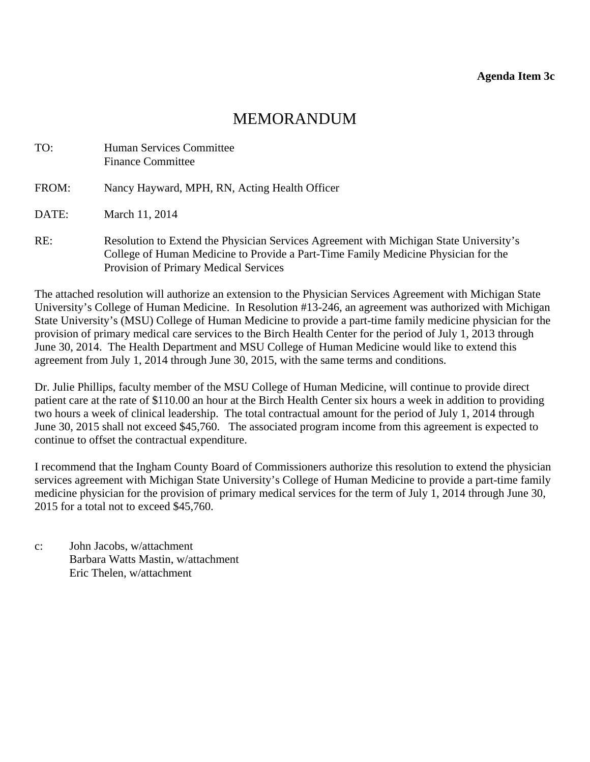# MEMORANDUM

<span id="page-18-0"></span>

| TO:   | <b>Human Services Committee</b><br><b>Finance Committee</b>                                                                                                                                                           |
|-------|-----------------------------------------------------------------------------------------------------------------------------------------------------------------------------------------------------------------------|
| FROM: | Nancy Hayward, MPH, RN, Acting Health Officer                                                                                                                                                                         |
| DATE: | March 11, 2014                                                                                                                                                                                                        |
| RE:   | Resolution to Extend the Physician Services Agreement with Michigan State University's<br>College of Human Medicine to Provide a Part-Time Family Medicine Physician for the<br>Provision of Primary Medical Services |

The attached resolution will authorize an extension to the Physician Services Agreement with Michigan State University's College of Human Medicine. In Resolution #13-246, an agreement was authorized with Michigan State University's (MSU) College of Human Medicine to provide a part-time family medicine physician for the provision of primary medical care services to the Birch Health Center for the period of July 1, 2013 through June 30, 2014. The Health Department and MSU College of Human Medicine would like to extend this agreement from July 1, 2014 through June 30, 2015, with the same terms and conditions.

Dr. Julie Phillips, faculty member of the MSU College of Human Medicine, will continue to provide direct patient care at the rate of \$110.00 an hour at the Birch Health Center six hours a week in addition to providing two hours a week of clinical leadership. The total contractual amount for the period of July 1, 2014 through June 30, 2015 shall not exceed \$45,760. The associated program income from this agreement is expected to continue to offset the contractual expenditure.

I recommend that the Ingham County Board of Commissioners authorize this resolution to extend the physician services agreement with Michigan State University's College of Human Medicine to provide a part-time family medicine physician for the provision of primary medical services for the term of July 1, 2014 through June 30, 2015 for a total not to exceed \$45,760.

c: John Jacobs, w/attachment Barbara Watts Mastin, w/attachment Eric Thelen, w/attachment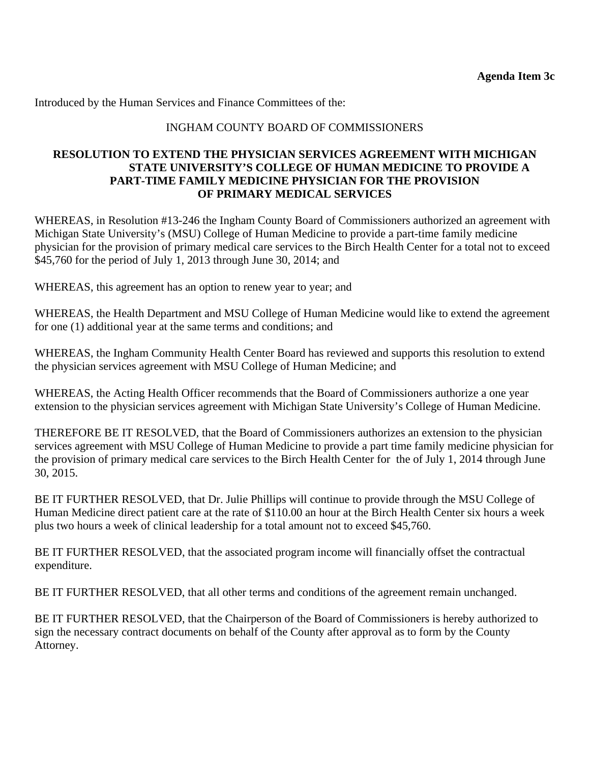Introduced by the Human Services and Finance Committees of the:

#### INGHAM COUNTY BOARD OF COMMISSIONERS

#### **RESOLUTION TO EXTEND THE PHYSICIAN SERVICES AGREEMENT WITH MICHIGAN STATE UNIVERSITY'S COLLEGE OF HUMAN MEDICINE TO PROVIDE A PART-TIME FAMILY MEDICINE PHYSICIAN FOR THE PROVISION OF PRIMARY MEDICAL SERVICES**

WHEREAS, in Resolution #13-246 the Ingham County Board of Commissioners authorized an agreement with Michigan State University's (MSU) College of Human Medicine to provide a part-time family medicine physician for the provision of primary medical care services to the Birch Health Center for a total not to exceed \$45,760 for the period of July 1, 2013 through June 30, 2014; and

WHEREAS, this agreement has an option to renew year to year; and

WHEREAS, the Health Department and MSU College of Human Medicine would like to extend the agreement for one (1) additional year at the same terms and conditions; and

WHEREAS, the Ingham Community Health Center Board has reviewed and supports this resolution to extend the physician services agreement with MSU College of Human Medicine; and

WHEREAS, the Acting Health Officer recommends that the Board of Commissioners authorize a one year extension to the physician services agreement with Michigan State University's College of Human Medicine.

THEREFORE BE IT RESOLVED, that the Board of Commissioners authorizes an extension to the physician services agreement with MSU College of Human Medicine to provide a part time family medicine physician for the provision of primary medical care services to the Birch Health Center for the of July 1, 2014 through June 30, 2015.

BE IT FURTHER RESOLVED, that Dr. Julie Phillips will continue to provide through the MSU College of Human Medicine direct patient care at the rate of \$110.00 an hour at the Birch Health Center six hours a week plus two hours a week of clinical leadership for a total amount not to exceed \$45,760.

BE IT FURTHER RESOLVED, that the associated program income will financially offset the contractual expenditure.

BE IT FURTHER RESOLVED, that all other terms and conditions of the agreement remain unchanged.

BE IT FURTHER RESOLVED, that the Chairperson of the Board of Commissioners is hereby authorized to sign the necessary contract documents on behalf of the County after approval as to form by the County Attorney.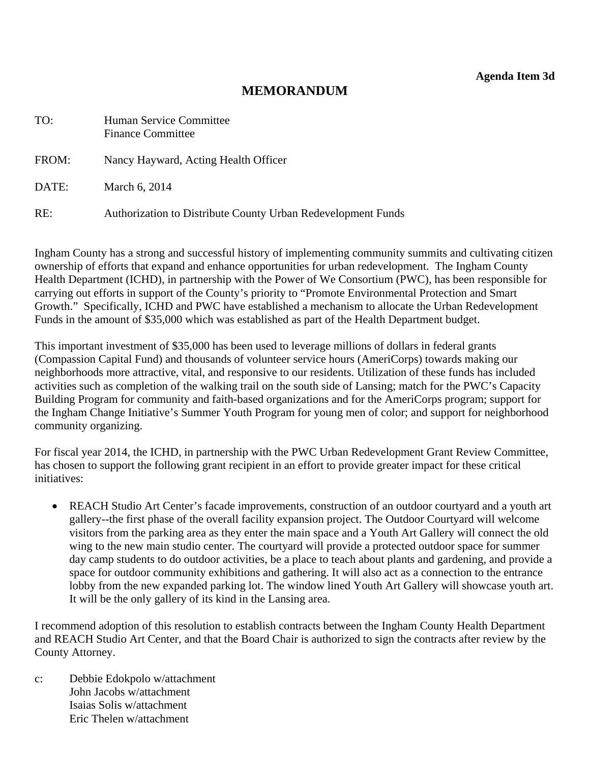**Agenda Item 3d** 

## **MEMORANDUM**

<span id="page-20-0"></span>

| TO:   | Human Service Committee<br><b>Finance Committee</b>          |
|-------|--------------------------------------------------------------|
| FROM: | Nancy Hayward, Acting Health Officer                         |
| DATE: | March 6, 2014                                                |
| RE:   | Authorization to Distribute County Urban Redevelopment Funds |

Ingham County has a strong and successful history of implementing community summits and cultivating citizen ownership of efforts that expand and enhance opportunities for urban redevelopment. The Ingham County Health Department (ICHD), in partnership with the Power of We Consortium (PWC), has been responsible for carrying out efforts in support of the County's priority to "Promote Environmental Protection and Smart Growth." Specifically, ICHD and PWC have established a mechanism to allocate the Urban Redevelopment Funds in the amount of \$35,000 which was established as part of the Health Department budget.

This important investment of \$35,000 has been used to leverage millions of dollars in federal grants (Compassion Capital Fund) and thousands of volunteer service hours (AmeriCorps) towards making our neighborhoods more attractive, vital, and responsive to our residents. Utilization of these funds has included activities such as completion of the walking trail on the south side of Lansing; match for the PWC's Capacity Building Program for community and faith-based organizations and for the AmeriCorps program; support for the Ingham Change Initiative's Summer Youth Program for young men of color; and support for neighborhood community organizing.

For fiscal year 2014, the ICHD, in partnership with the PWC Urban Redevelopment Grant Review Committee, has chosen to support the following grant recipient in an effort to provide greater impact for these critical initiatives:

• REACH Studio Art Center's facade improvements, construction of an outdoor courtyard and a youth art gallery--the first phase of the overall facility expansion project. The Outdoor Courtyard will welcome visitors from the parking area as they enter the main space and a Youth Art Gallery will connect the old wing to the new main studio center. The courtyard will provide a protected outdoor space for summer day camp students to do outdoor activities, be a place to teach about plants and gardening, and provide a space for outdoor community exhibitions and gathering. It will also act as a connection to the entrance lobby from the new expanded parking lot. The window lined Youth Art Gallery will showcase youth art. It will be the only gallery of its kind in the Lansing area.

I recommend adoption of this resolution to establish contracts between the Ingham County Health Department and REACH Studio Art Center, and that the Board Chair is authorized to sign the contracts after review by the County Attorney.

c: Debbie Edokpolo w/attachment John Jacobs w/attachment Isaias Solis w/attachment Eric Thelen w/attachment